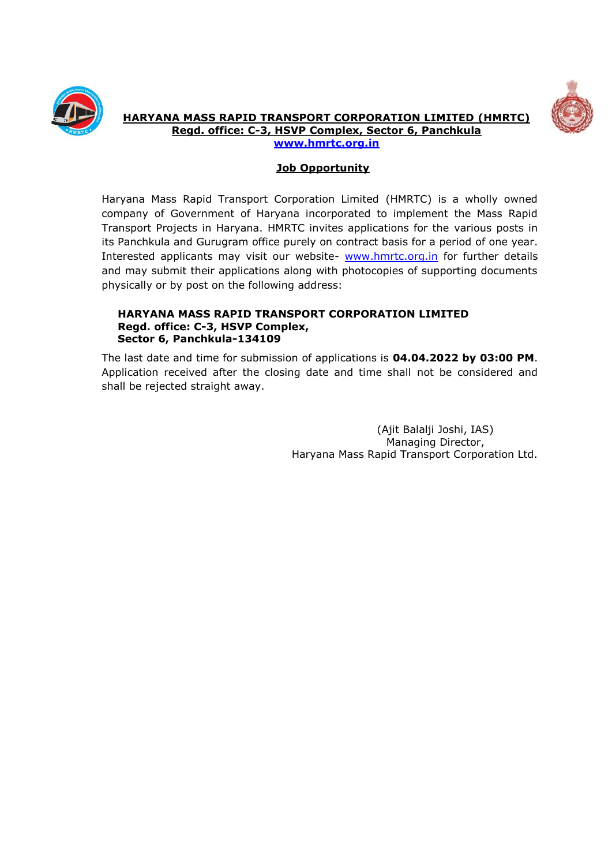



**HARYANA MASS RAPID TRANSPORT CORPORATION LIMITED (HMRTC) Regd. office: C-3, HSVP Complex, Sector 6, Panchkula**

**[www.hmrtc.org.in](http://www.hmrtc.org.in/)**

## **Job Opportunity**

Haryana Mass Rapid Transport Corporation Limited (HMRTC) is a wholly owned company of Government of Haryana incorporated to implement the Mass Rapid Transport Projects in Haryana. HMRTC invites applications for the various posts in its Panchkula and Gurugram office purely on contract basis for a period of one year. Interested applicants may visit our website- [www.hmrtc.org.in](http://www.hmrtc.org.in/) for further details and may submit their applications along with photocopies of supporting documents physically or by post on the following address:

#### **HARYANA MASS RAPID TRANSPORT CORPORATION LIMITED Regd. office: C-3, HSVP Complex, Sector 6, Panchkula-134109**

The last date and time for submission of applications is **04.04.2022 by 03:00 PM**. Application received after the closing date and time shall not be considered and shall be rejected straight away.

> (Ajit Balalji Joshi, IAS) Managing Director, Haryana Mass Rapid Transport Corporation Ltd.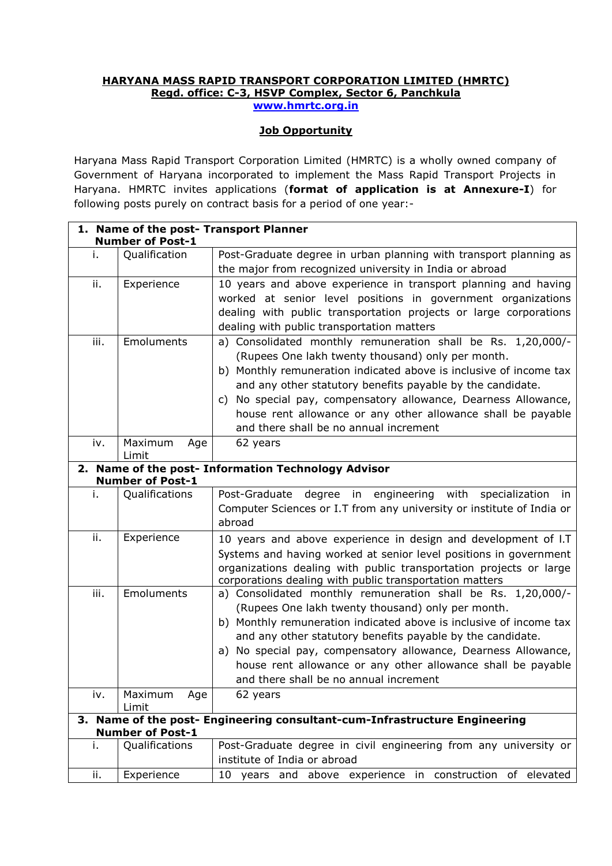#### **HARYANA MASS RAPID TRANSPORT CORPORATION LIMITED (HMRTC) Regd. office: C-3, HSVP Complex, Sector 6, Panchkula [www.hmrtc.org.in](http://www.hmrtc.org.in/)**

## **Job Opportunity**

Haryana Mass Rapid Transport Corporation Limited (HMRTC) is a wholly owned company of Government of Haryana incorporated to implement the Mass Rapid Transport Projects in Haryana. HMRTC invites applications (**format of application is at Annexure-I**) for following posts purely on contract basis for a period of one year:-

|      | <b>Number of Post-1</b> | 1. Name of the post- Transport Planner                                                                                  |
|------|-------------------------|-------------------------------------------------------------------------------------------------------------------------|
| i.   | Qualification           | Post-Graduate degree in urban planning with transport planning as                                                       |
|      |                         | the major from recognized university in India or abroad                                                                 |
| ii.  | Experience              | 10 years and above experience in transport planning and having                                                          |
|      |                         | worked at senior level positions in government organizations                                                            |
|      |                         | dealing with public transportation projects or large corporations                                                       |
|      |                         | dealing with public transportation matters                                                                              |
| iii. | Emoluments              | a) Consolidated monthly remuneration shall be Rs. 1,20,000/-                                                            |
|      |                         | (Rupees One lakh twenty thousand) only per month.                                                                       |
|      |                         | b) Monthly remuneration indicated above is inclusive of income tax                                                      |
|      |                         | and any other statutory benefits payable by the candidate.                                                              |
|      |                         | c) No special pay, compensatory allowance, Dearness Allowance,                                                          |
|      |                         | house rent allowance or any other allowance shall be payable                                                            |
|      |                         | and there shall be no annual increment                                                                                  |
| iv.  | Maximum<br>Age<br>Limit | 62 years                                                                                                                |
|      |                         | 2. Name of the post- Information Technology Advisor                                                                     |
|      | <b>Number of Post-1</b> |                                                                                                                         |
| i.   | Qualifications          | Post-Graduate<br>degree<br>engineering with<br>in<br>specialization<br>in                                               |
|      |                         | Computer Sciences or I.T from any university or institute of India or                                                   |
|      |                         | abroad                                                                                                                  |
| ii.  | Experience              | 10 years and above experience in design and development of I.T                                                          |
|      |                         | Systems and having worked at senior level positions in government                                                       |
|      |                         | organizations dealing with public transportation projects or large                                                      |
|      |                         | corporations dealing with public transportation matters                                                                 |
| iii. | Emoluments              | a) Consolidated monthly remuneration shall be Rs. 1,20,000/-                                                            |
|      |                         | (Rupees One lakh twenty thousand) only per month.<br>b) Monthly remuneration indicated above is inclusive of income tax |
|      |                         | and any other statutory benefits payable by the candidate.                                                              |
|      |                         | a) No special pay, compensatory allowance, Dearness Allowance,                                                          |
|      |                         | house rent allowance or any other allowance shall be payable                                                            |
|      |                         | and there shall be no annual increment                                                                                  |
| iv.  | Maximum<br>Age          | 62 years                                                                                                                |
|      | Limit                   |                                                                                                                         |
|      | <b>Number of Post-1</b> | 3. Name of the post- Engineering consultant-cum-Infrastructure Engineering                                              |
| i.   | Qualifications          | Post-Graduate degree in civil engineering from any university or                                                        |
|      |                         | institute of India or abroad                                                                                            |
| ii.  | Experience              | 10 years and above experience in construction of elevated                                                               |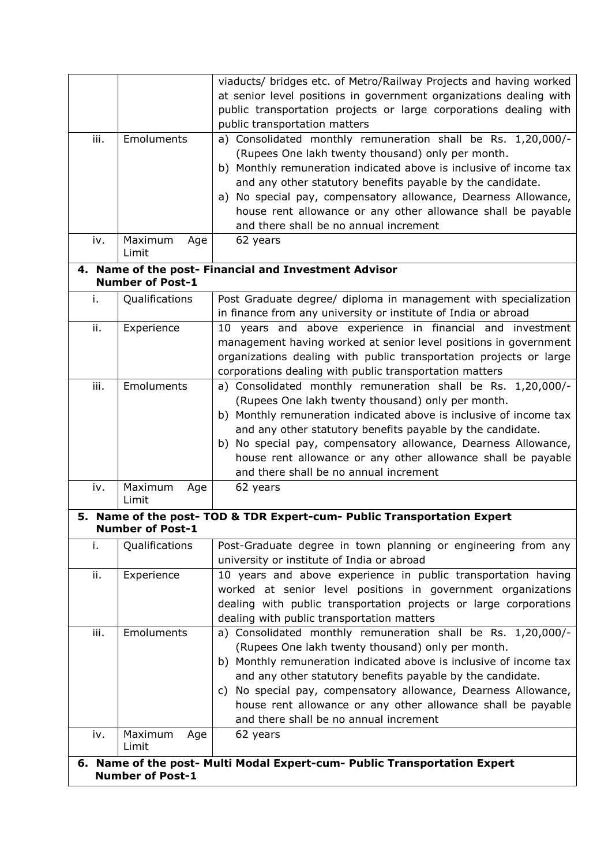|      |                         | viaducts/ bridges etc. of Metro/Railway Projects and having worked                                                             |
|------|-------------------------|--------------------------------------------------------------------------------------------------------------------------------|
|      |                         | at senior level positions in government organizations dealing with                                                             |
|      |                         | public transportation projects or large corporations dealing with                                                              |
|      |                         | public transportation matters                                                                                                  |
| iii. | Emoluments              | a) Consolidated monthly remuneration shall be Rs. 1,20,000/-                                                                   |
|      |                         | (Rupees One lakh twenty thousand) only per month.                                                                              |
|      |                         | b) Monthly remuneration indicated above is inclusive of income tax                                                             |
|      |                         | and any other statutory benefits payable by the candidate.                                                                     |
|      |                         | a) No special pay, compensatory allowance, Dearness Allowance,                                                                 |
|      |                         | house rent allowance or any other allowance shall be payable                                                                   |
|      |                         | and there shall be no annual increment                                                                                         |
| iv.  | Maximum<br>Age<br>Limit | 62 years                                                                                                                       |
|      |                         | 4. Name of the post- Financial and Investment Advisor                                                                          |
|      | <b>Number of Post-1</b> |                                                                                                                                |
| i.   | Qualifications          | Post Graduate degree/ diploma in management with specialization                                                                |
|      |                         | in finance from any university or institute of India or abroad                                                                 |
| ii.  | Experience              | 10 years and above experience in financial and investment                                                                      |
|      |                         | management having worked at senior level positions in government                                                               |
|      |                         | organizations dealing with public transportation projects or large                                                             |
|      |                         | corporations dealing with public transportation matters                                                                        |
| iii. | Emoluments              | a) Consolidated monthly remuneration shall be Rs. 1,20,000/-                                                                   |
|      |                         | (Rupees One lakh twenty thousand) only per month.                                                                              |
|      |                         | b) Monthly remuneration indicated above is inclusive of income tax                                                             |
|      |                         | and any other statutory benefits payable by the candidate.                                                                     |
|      |                         | b) No special pay, compensatory allowance, Dearness Allowance,                                                                 |
|      |                         | house rent allowance or any other allowance shall be payable<br>and there shall be no annual increment                         |
| iv.  | Maximum<br>Age          | 62 years                                                                                                                       |
|      | Limit                   |                                                                                                                                |
|      |                         | 5. Name of the post- TOD & TDR Expert-cum- Public Transportation Expert                                                        |
|      | <b>Number of Post-1</b> |                                                                                                                                |
| i.   | Qualifications          | Post-Graduate degree in town planning or engineering from any                                                                  |
|      |                         | university or institute of India or abroad                                                                                     |
| ii.  | Experience              | 10 years and above experience in public transportation having                                                                  |
|      |                         | worked at senior level positions in government organizations                                                                   |
|      |                         | dealing with public transportation projects or large corporations                                                              |
|      |                         | dealing with public transportation matters                                                                                     |
| iii. | Emoluments              | a) Consolidated monthly remuneration shall be Rs. 1,20,000/-                                                                   |
|      |                         | (Rupees One lakh twenty thousand) only per month.                                                                              |
|      |                         | b) Monthly remuneration indicated above is inclusive of income tax                                                             |
|      |                         | and any other statutory benefits payable by the candidate.                                                                     |
|      |                         | c) No special pay, compensatory allowance, Dearness Allowance,<br>house rent allowance or any other allowance shall be payable |
|      |                         | and there shall be no annual increment                                                                                         |
| iv.  | Maximum<br>Age          | 62 years                                                                                                                       |
|      | Limit                   |                                                                                                                                |
|      |                         | 6. Name of the post- Multi Modal Expert-cum- Public Transportation Expert                                                      |
|      | <b>Number of Post-1</b> |                                                                                                                                |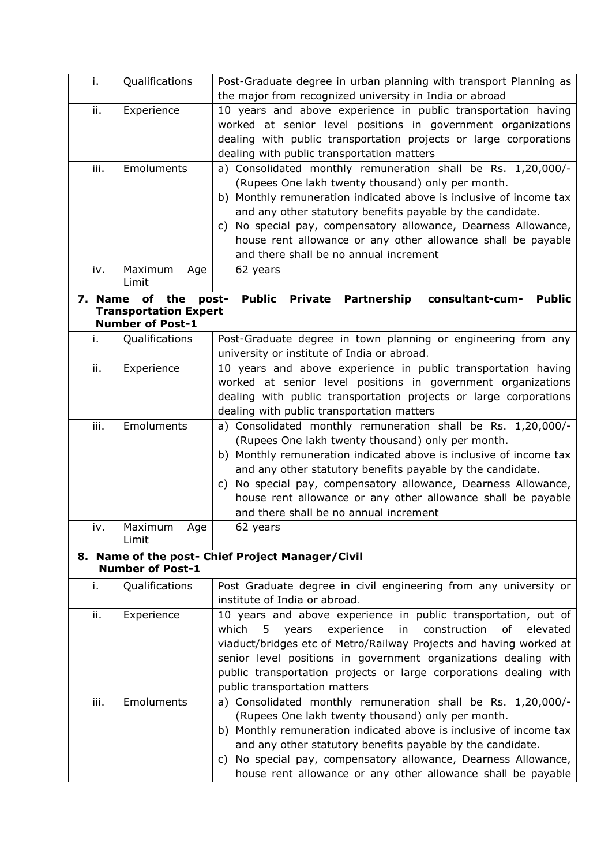| i.      | Qualifications                            | Post-Graduate degree in urban planning with transport Planning as                                                              |  |  |  |  |  |  |
|---------|-------------------------------------------|--------------------------------------------------------------------------------------------------------------------------------|--|--|--|--|--|--|
|         |                                           | the major from recognized university in India or abroad                                                                        |  |  |  |  |  |  |
| ii.     | Experience                                | 10 years and above experience in public transportation having                                                                  |  |  |  |  |  |  |
|         |                                           | worked at senior level positions in government organizations                                                                   |  |  |  |  |  |  |
|         |                                           | dealing with public transportation projects or large corporations                                                              |  |  |  |  |  |  |
|         |                                           | dealing with public transportation matters                                                                                     |  |  |  |  |  |  |
| iii.    | Emoluments                                | a) Consolidated monthly remuneration shall be Rs. 1,20,000/-                                                                   |  |  |  |  |  |  |
|         |                                           | (Rupees One lakh twenty thousand) only per month.                                                                              |  |  |  |  |  |  |
|         |                                           | b) Monthly remuneration indicated above is inclusive of income tax                                                             |  |  |  |  |  |  |
|         |                                           | and any other statutory benefits payable by the candidate.                                                                     |  |  |  |  |  |  |
|         |                                           | c) No special pay, compensatory allowance, Dearness Allowance,                                                                 |  |  |  |  |  |  |
|         |                                           | house rent allowance or any other allowance shall be payable                                                                   |  |  |  |  |  |  |
|         |                                           | and there shall be no annual increment                                                                                         |  |  |  |  |  |  |
| iv.     | Maximum<br>Age<br>Limit                   | 62 years                                                                                                                       |  |  |  |  |  |  |
|         |                                           | <b>Public</b>                                                                                                                  |  |  |  |  |  |  |
| 7. Name | of<br>the<br><b>Transportation Expert</b> | <b>Public</b><br><b>Private Partnership</b><br>consultant-cum-<br>post-                                                        |  |  |  |  |  |  |
|         | <b>Number of Post-1</b>                   |                                                                                                                                |  |  |  |  |  |  |
| i.      | Qualifications                            | Post-Graduate degree in town planning or engineering from any                                                                  |  |  |  |  |  |  |
|         |                                           | university or institute of India or abroad.                                                                                    |  |  |  |  |  |  |
| ii.     | Experience                                | 10 years and above experience in public transportation having                                                                  |  |  |  |  |  |  |
|         |                                           | worked at senior level positions in government organizations                                                                   |  |  |  |  |  |  |
|         |                                           | dealing with public transportation projects or large corporations                                                              |  |  |  |  |  |  |
|         |                                           | dealing with public transportation matters                                                                                     |  |  |  |  |  |  |
| iii.    | Emoluments                                | a) Consolidated monthly remuneration shall be Rs. 1,20,000/-                                                                   |  |  |  |  |  |  |
|         |                                           | (Rupees One lakh twenty thousand) only per month.                                                                              |  |  |  |  |  |  |
|         |                                           | b) Monthly remuneration indicated above is inclusive of income tax                                                             |  |  |  |  |  |  |
|         |                                           | and any other statutory benefits payable by the candidate.                                                                     |  |  |  |  |  |  |
|         |                                           | c) No special pay, compensatory allowance, Dearness Allowance,<br>house rent allowance or any other allowance shall be payable |  |  |  |  |  |  |
|         |                                           | and there shall be no annual increment                                                                                         |  |  |  |  |  |  |
| iv.     | Maximum<br>Age                            | 62 years                                                                                                                       |  |  |  |  |  |  |
|         | Limit                                     |                                                                                                                                |  |  |  |  |  |  |
|         |                                           | 8. Name of the post- Chief Project Manager/Civil                                                                               |  |  |  |  |  |  |
|         | <b>Number of Post-1</b>                   |                                                                                                                                |  |  |  |  |  |  |
| i.      | Qualifications                            | Post Graduate degree in civil engineering from any university or                                                               |  |  |  |  |  |  |
|         |                                           | institute of India or abroad.                                                                                                  |  |  |  |  |  |  |
| ii.     | Experience                                | 10 years and above experience in public transportation, out of                                                                 |  |  |  |  |  |  |
|         |                                           | construction<br>which<br>experience<br>in<br>of<br>elevated<br>5<br>years                                                      |  |  |  |  |  |  |
|         |                                           | viaduct/bridges etc of Metro/Railway Projects and having worked at                                                             |  |  |  |  |  |  |
|         |                                           | senior level positions in government organizations dealing with                                                                |  |  |  |  |  |  |
|         |                                           | public transportation projects or large corporations dealing with                                                              |  |  |  |  |  |  |
|         |                                           | public transportation matters                                                                                                  |  |  |  |  |  |  |
| iii.    | Emoluments                                | a) Consolidated monthly remuneration shall be Rs. 1,20,000/-<br>(Rupees One lakh twenty thousand) only per month.              |  |  |  |  |  |  |
|         |                                           | b) Monthly remuneration indicated above is inclusive of income tax                                                             |  |  |  |  |  |  |
|         |                                           | and any other statutory benefits payable by the candidate.                                                                     |  |  |  |  |  |  |
|         |                                           | c) No special pay, compensatory allowance, Dearness Allowance,                                                                 |  |  |  |  |  |  |
|         |                                           | house rent allowance or any other allowance shall be payable                                                                   |  |  |  |  |  |  |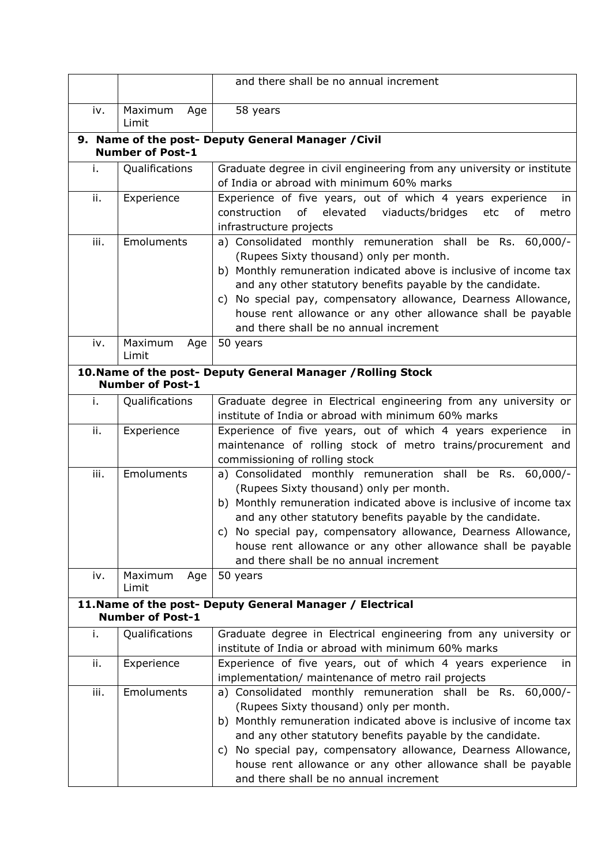|                                                     |                         | and there shall be no annual increment                                                                                                                                                                                                                                                                                                                                                                                |  |  |  |  |  |  |
|-----------------------------------------------------|-------------------------|-----------------------------------------------------------------------------------------------------------------------------------------------------------------------------------------------------------------------------------------------------------------------------------------------------------------------------------------------------------------------------------------------------------------------|--|--|--|--|--|--|
| iv.                                                 | Maximum<br>Age<br>Limit | 58 years                                                                                                                                                                                                                                                                                                                                                                                                              |  |  |  |  |  |  |
| 9. Name of the post- Deputy General Manager / Civil |                         |                                                                                                                                                                                                                                                                                                                                                                                                                       |  |  |  |  |  |  |
|                                                     | <b>Number of Post-1</b> |                                                                                                                                                                                                                                                                                                                                                                                                                       |  |  |  |  |  |  |
| i.                                                  | Qualifications          | Graduate degree in civil engineering from any university or institute<br>of India or abroad with minimum 60% marks                                                                                                                                                                                                                                                                                                    |  |  |  |  |  |  |
| ii.                                                 | Experience              | Experience of five years, out of which 4 years experience<br>in.<br>construction<br>of<br>elevated viaducts/bridges<br>etc<br>of<br>metro<br>infrastructure projects                                                                                                                                                                                                                                                  |  |  |  |  |  |  |
| iii.                                                | Emoluments              | a) Consolidated monthly remuneration shall be Rs. 60,000/-<br>(Rupees Sixty thousand) only per month.<br>b) Monthly remuneration indicated above is inclusive of income tax<br>and any other statutory benefits payable by the candidate.<br>c) No special pay, compensatory allowance, Dearness Allowance,<br>house rent allowance or any other allowance shall be payable<br>and there shall be no annual increment |  |  |  |  |  |  |
| iv.                                                 | Maximum<br>Age<br>Limit | 50 years                                                                                                                                                                                                                                                                                                                                                                                                              |  |  |  |  |  |  |
|                                                     | <b>Number of Post-1</b> | 10. Name of the post- Deputy General Manager / Rolling Stock                                                                                                                                                                                                                                                                                                                                                          |  |  |  |  |  |  |
| i.                                                  | Qualifications          | Graduate degree in Electrical engineering from any university or<br>institute of India or abroad with minimum 60% marks                                                                                                                                                                                                                                                                                               |  |  |  |  |  |  |
| ii.                                                 | Experience              | Experience of five years, out of which 4 years experience<br>in<br>maintenance of rolling stock of metro trains/procurement and<br>commissioning of rolling stock                                                                                                                                                                                                                                                     |  |  |  |  |  |  |
| iii.                                                | Emoluments              | a) Consolidated monthly remuneration shall be Rs. 60,000/-<br>(Rupees Sixty thousand) only per month.<br>b) Monthly remuneration indicated above is inclusive of income tax<br>and any other statutory benefits payable by the candidate.<br>c) No special pay, compensatory allowance, Dearness Allowance,<br>house rent allowance or any other allowance shall be payable<br>and there shall be no annual increment |  |  |  |  |  |  |
| iv.                                                 | Maximum<br>Age<br>Limit | 50 years                                                                                                                                                                                                                                                                                                                                                                                                              |  |  |  |  |  |  |
|                                                     | <b>Number of Post-1</b> | 11. Name of the post- Deputy General Manager / Electrical                                                                                                                                                                                                                                                                                                                                                             |  |  |  |  |  |  |
| i.                                                  | Qualifications          | Graduate degree in Electrical engineering from any university or<br>institute of India or abroad with minimum 60% marks                                                                                                                                                                                                                                                                                               |  |  |  |  |  |  |
| ii.                                                 | Experience              | Experience of five years, out of which 4 years experience<br>in<br>implementation/ maintenance of metro rail projects                                                                                                                                                                                                                                                                                                 |  |  |  |  |  |  |
| iii.                                                | Emoluments              | a) Consolidated monthly remuneration shall be Rs. 60,000/-<br>(Rupees Sixty thousand) only per month.<br>b) Monthly remuneration indicated above is inclusive of income tax<br>and any other statutory benefits payable by the candidate.<br>c) No special pay, compensatory allowance, Dearness Allowance,<br>house rent allowance or any other allowance shall be payable<br>and there shall be no annual increment |  |  |  |  |  |  |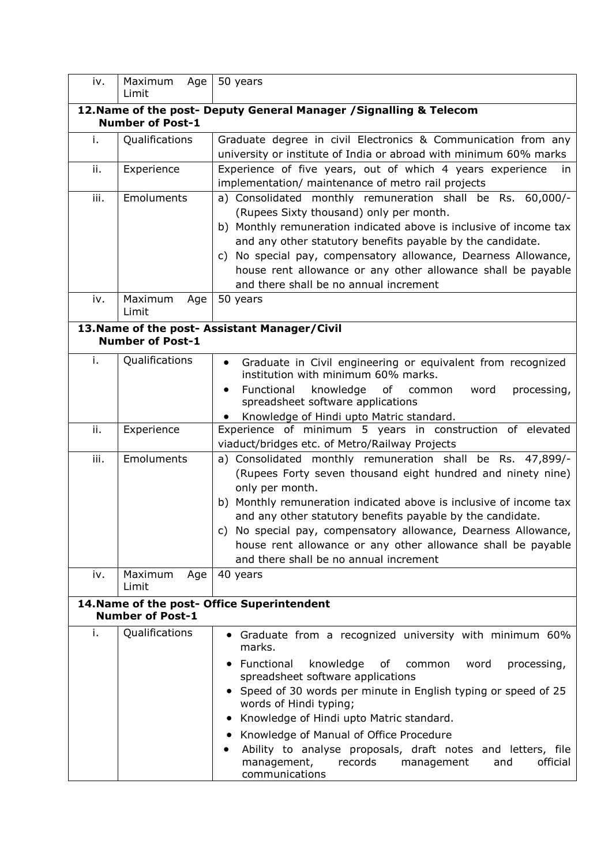| iv.  | Maximum<br>Age<br>Limit | 50 years                                                                                                                       |  |  |  |  |
|------|-------------------------|--------------------------------------------------------------------------------------------------------------------------------|--|--|--|--|
|      |                         |                                                                                                                                |  |  |  |  |
|      | <b>Number of Post-1</b> | 12. Name of the post- Deputy General Manager / Signalling & Telecom                                                            |  |  |  |  |
| i.   | Qualifications          | Graduate degree in civil Electronics & Communication from any                                                                  |  |  |  |  |
|      |                         | university or institute of India or abroad with minimum 60% marks                                                              |  |  |  |  |
| ii.  | Experience              | Experience of five years, out of which 4 years experience<br>in                                                                |  |  |  |  |
|      |                         | implementation/ maintenance of metro rail projects                                                                             |  |  |  |  |
| iii. | Emoluments              | a) Consolidated monthly remuneration shall be Rs. 60,000/-                                                                     |  |  |  |  |
|      |                         | (Rupees Sixty thousand) only per month.                                                                                        |  |  |  |  |
|      |                         | b) Monthly remuneration indicated above is inclusive of income tax                                                             |  |  |  |  |
|      |                         | and any other statutory benefits payable by the candidate.                                                                     |  |  |  |  |
|      |                         | c) No special pay, compensatory allowance, Dearness Allowance,                                                                 |  |  |  |  |
|      |                         | house rent allowance or any other allowance shall be payable                                                                   |  |  |  |  |
|      |                         | and there shall be no annual increment                                                                                         |  |  |  |  |
| iv.  | Maximum<br>Age<br>Limit | 50 years                                                                                                                       |  |  |  |  |
|      |                         | 13. Name of the post- Assistant Manager/Civil                                                                                  |  |  |  |  |
|      | <b>Number of Post-1</b> |                                                                                                                                |  |  |  |  |
| i.   | Qualifications          | Graduate in Civil engineering or equivalent from recognized                                                                    |  |  |  |  |
|      |                         | institution with minimum 60% marks.                                                                                            |  |  |  |  |
|      |                         | Functional<br>knowledge<br>of common<br>processing,<br>word                                                                    |  |  |  |  |
|      |                         | spreadsheet software applications                                                                                              |  |  |  |  |
|      |                         | Knowledge of Hindi upto Matric standard.                                                                                       |  |  |  |  |
| ii.  | Experience              | Experience of minimum 5 years in construction of elevated                                                                      |  |  |  |  |
|      |                         | viaduct/bridges etc. of Metro/Railway Projects                                                                                 |  |  |  |  |
| iii. | Emoluments              | a) Consolidated monthly remuneration shall be Rs. 47,899/-                                                                     |  |  |  |  |
|      |                         | (Rupees Forty seven thousand eight hundred and ninety nine)                                                                    |  |  |  |  |
|      |                         | only per month.                                                                                                                |  |  |  |  |
|      |                         | b) Monthly remuneration indicated above is inclusive of income tax                                                             |  |  |  |  |
|      |                         | and any other statutory benefits payable by the candidate.                                                                     |  |  |  |  |
|      |                         | c) No special pay, compensatory allowance, Dearness Allowance,<br>house rent allowance or any other allowance shall be payable |  |  |  |  |
|      |                         | and there shall be no annual increment                                                                                         |  |  |  |  |
| iv.  | Maximum<br>Age          | 40 years                                                                                                                       |  |  |  |  |
|      | Limit                   |                                                                                                                                |  |  |  |  |
|      |                         | 14. Name of the post- Office Superintendent                                                                                    |  |  |  |  |
|      | <b>Number of Post-1</b> |                                                                                                                                |  |  |  |  |
| i.   | Qualifications          | • Graduate from a recognized university with minimum 60%<br>marks.                                                             |  |  |  |  |
|      |                         | Functional<br>knowledge<br>of<br>processing,<br>common<br>word<br>$\bullet$<br>spreadsheet software applications               |  |  |  |  |
|      |                         | Speed of 30 words per minute in English typing or speed of 25<br>words of Hindi typing;                                        |  |  |  |  |
|      |                         | Knowledge of Hindi upto Matric standard.<br>$\bullet$                                                                          |  |  |  |  |
|      |                         | Knowledge of Manual of Office Procedure<br>$\bullet$                                                                           |  |  |  |  |
|      |                         | Ability to analyse proposals, draft notes and letters, file                                                                    |  |  |  |  |
|      |                         | management,<br>records<br>official<br>management<br>and<br>communications                                                      |  |  |  |  |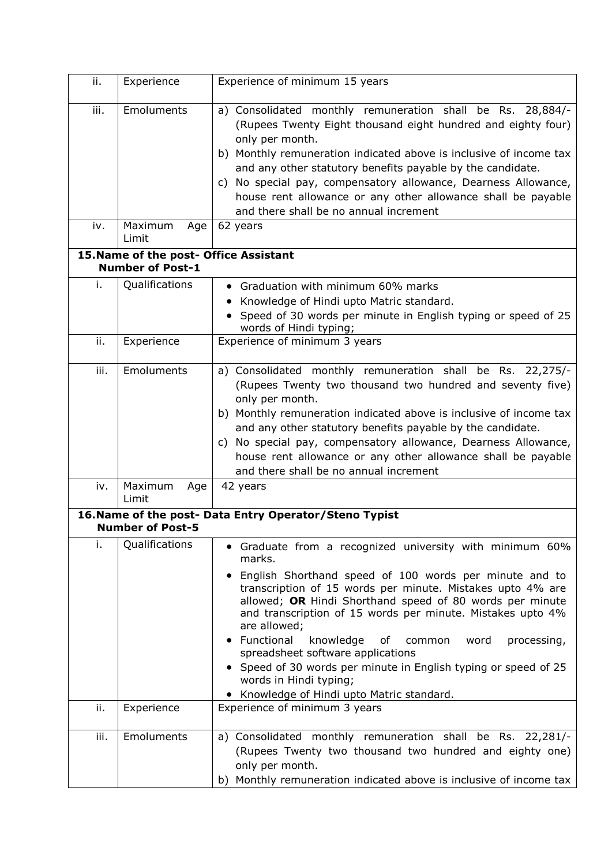| ii.       | Experience                                                        | Experience of minimum 15 years                                                                                                                                                                                                                                                                                                                                                                                                                                                                                                                                                                                            |  |  |  |  |  |
|-----------|-------------------------------------------------------------------|---------------------------------------------------------------------------------------------------------------------------------------------------------------------------------------------------------------------------------------------------------------------------------------------------------------------------------------------------------------------------------------------------------------------------------------------------------------------------------------------------------------------------------------------------------------------------------------------------------------------------|--|--|--|--|--|
| iii.      | Emoluments                                                        | a) Consolidated monthly remuneration shall be Rs. 28,884/-<br>(Rupees Twenty Eight thousand eight hundred and eighty four)<br>only per month.<br>b) Monthly remuneration indicated above is inclusive of income tax<br>and any other statutory benefits payable by the candidate.<br>c) No special pay, compensatory allowance, Dearness Allowance,<br>house rent allowance or any other allowance shall be payable<br>and there shall be no annual increment                                                                                                                                                             |  |  |  |  |  |
| iv.       | Maximum<br>Age<br>Limit                                           | 62 years                                                                                                                                                                                                                                                                                                                                                                                                                                                                                                                                                                                                                  |  |  |  |  |  |
|           | 15. Name of the post- Office Assistant<br><b>Number of Post-1</b> |                                                                                                                                                                                                                                                                                                                                                                                                                                                                                                                                                                                                                           |  |  |  |  |  |
| i.        | Qualifications                                                    | • Graduation with minimum 60% marks<br>Knowledge of Hindi upto Matric standard.<br>Speed of 30 words per minute in English typing or speed of 25<br>words of Hindi typing;                                                                                                                                                                                                                                                                                                                                                                                                                                                |  |  |  |  |  |
| ii.       | Experience                                                        | Experience of minimum 3 years                                                                                                                                                                                                                                                                                                                                                                                                                                                                                                                                                                                             |  |  |  |  |  |
| iii.      | Emoluments                                                        | a) Consolidated monthly remuneration shall be Rs. 22,275/-<br>(Rupees Twenty two thousand two hundred and seventy five)<br>only per month.<br>b) Monthly remuneration indicated above is inclusive of income tax<br>and any other statutory benefits payable by the candidate.<br>c) No special pay, compensatory allowance, Dearness Allowance,<br>house rent allowance or any other allowance shall be payable<br>and there shall be no annual increment                                                                                                                                                                |  |  |  |  |  |
| iv.       | Maximum<br>Age<br>Limit                                           | 42 years                                                                                                                                                                                                                                                                                                                                                                                                                                                                                                                                                                                                                  |  |  |  |  |  |
|           | <b>Number of Post-5</b>                                           | 16. Name of the post- Data Entry Operator/Steno Typist                                                                                                                                                                                                                                                                                                                                                                                                                                                                                                                                                                    |  |  |  |  |  |
| i.<br>ii. | Qualifications                                                    | • Graduate from a recognized university with minimum 60%<br>marks.<br>• English Shorthand speed of 100 words per minute and to<br>transcription of 15 words per minute. Mistakes upto 4% are<br>allowed; OR Hindi Shorthand speed of 80 words per minute<br>and transcription of 15 words per minute. Mistakes upto 4%<br>are allowed;<br>Functional<br>knowledge<br>processing,<br>оf<br>common<br>word<br>spreadsheet software applications<br>• Speed of 30 words per minute in English typing or speed of 25<br>words in Hindi typing;<br>• Knowledge of Hindi upto Matric standard.<br>Experience of minimum 3 years |  |  |  |  |  |
|           | Experience                                                        |                                                                                                                                                                                                                                                                                                                                                                                                                                                                                                                                                                                                                           |  |  |  |  |  |
| iii.      | Emoluments                                                        | a) Consolidated monthly remuneration shall be Rs. 22,281/-<br>(Rupees Twenty two thousand two hundred and eighty one)<br>only per month.<br>b) Monthly remuneration indicated above is inclusive of income tax                                                                                                                                                                                                                                                                                                                                                                                                            |  |  |  |  |  |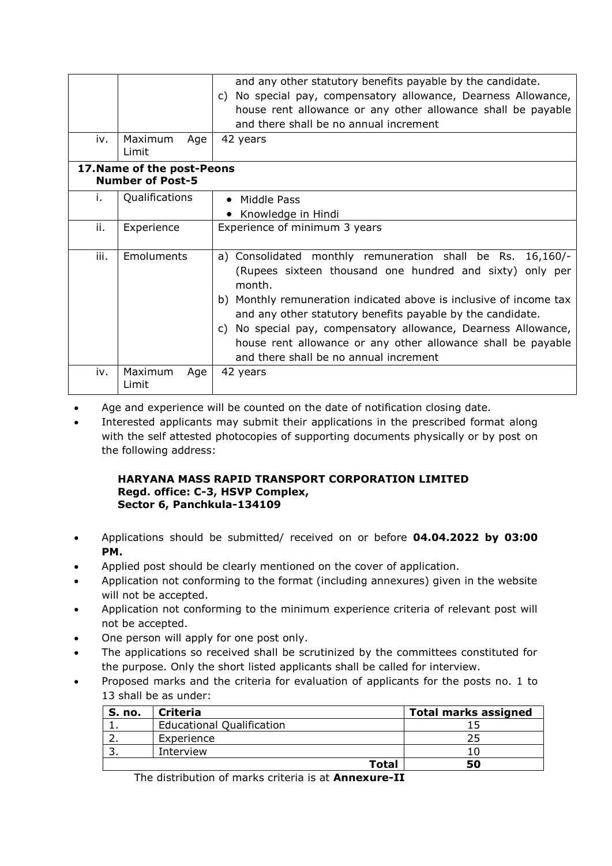|      |                                                       | and any other statutory benefits payable by the candidate.<br>c) No special pay, compensatory allowance, Dearness Allowance,<br>house rent allowance or any other allowance shall be payable<br>and there shall be no annual increment                                                                                                                                                                                                           |  |  |  |  |  |
|------|-------------------------------------------------------|--------------------------------------------------------------------------------------------------------------------------------------------------------------------------------------------------------------------------------------------------------------------------------------------------------------------------------------------------------------------------------------------------------------------------------------------------|--|--|--|--|--|
| iv.  | Maximum<br>Age<br>Limit                               | 42 years                                                                                                                                                                                                                                                                                                                                                                                                                                         |  |  |  |  |  |
|      | 17. Name of the post-Peons<br><b>Number of Post-5</b> |                                                                                                                                                                                                                                                                                                                                                                                                                                                  |  |  |  |  |  |
| Τ.   | Qualifications                                        | • Middle Pass<br>Knowledge in Hindi                                                                                                                                                                                                                                                                                                                                                                                                              |  |  |  |  |  |
| ii.  | Experience                                            | Experience of minimum 3 years                                                                                                                                                                                                                                                                                                                                                                                                                    |  |  |  |  |  |
| iii. | Emoluments                                            | a) Consolidated monthly remuneration shall be Rs. 16,160/-<br>(Rupees sixteen thousand one hundred and sixty) only per<br>month.<br>b) Monthly remuneration indicated above is inclusive of income tax<br>and any other statutory benefits payable by the candidate.<br>c) No special pay, compensatory allowance, Dearness Allowance,<br>house rent allowance or any other allowance shall be payable<br>and there shall be no annual increment |  |  |  |  |  |
| iv.  | Maximum<br>Age<br>Limit                               | 42 years                                                                                                                                                                                                                                                                                                                                                                                                                                         |  |  |  |  |  |

- Age and experience will be counted on the date of notification closing date.
- Interested applicants may submit their applications in the prescribed format along with the self attested photocopies of supporting documents physically or by post on the following address:

### **HARYANA MASS RAPID TRANSPORT CORPORATION LIMITED Regd. office: C-3, HSVP Complex, Sector 6, Panchkula-134109**

- Applications should be submitted/ received on or before **04.04.2022 by 03:00 PM.**
- Applied post should be clearly mentioned on the cover of application.
- Application not conforming to the format (including annexures) given in the website will not be accepted.
- Application not conforming to the minimum experience criteria of relevant post will not be accepted.
- One person will apply for one post only.
- The applications so received shall be scrutinized by the committees constituted for the purpose. Only the short listed applicants shall be called for interview.
- Proposed marks and the criteria for evaluation of applicants for the posts no. 1 to 13 shall be as under:

| <b>S. no.</b> | <b>Criteria</b>                  |              | <b>Total marks assigned</b> |
|---------------|----------------------------------|--------------|-----------------------------|
|               | <b>Educational Qualification</b> |              |                             |
|               | Experience                       |              |                             |
|               | Interview                        |              |                             |
|               |                                  | <b>Total</b> | 50                          |

The distribution of marks criteria is at **Annexure-II**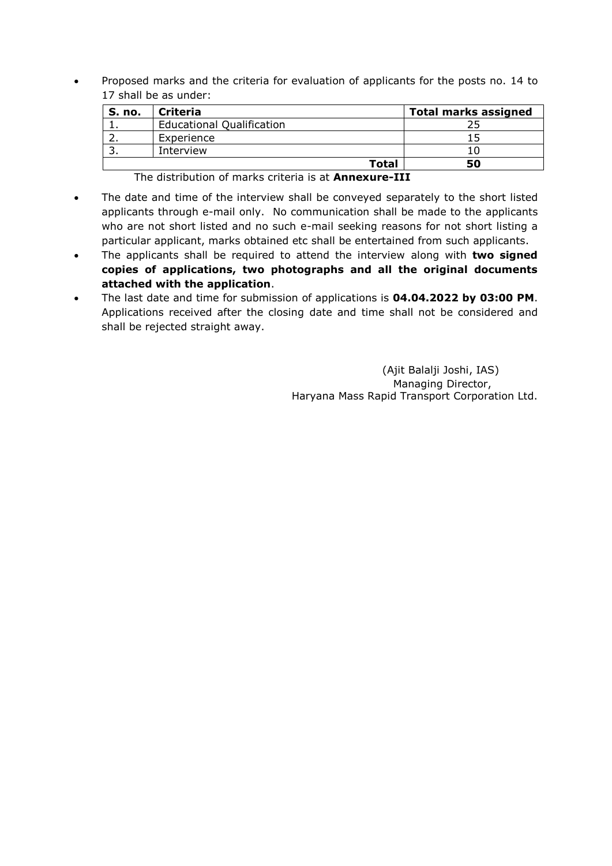• Proposed marks and the criteria for evaluation of applicants for the posts no. 14 to 17 shall be as under:

| S. no. | <b>Criteria</b>                  |       | <b>Total marks assigned</b> |
|--------|----------------------------------|-------|-----------------------------|
|        | <b>Educational Qualification</b> |       |                             |
|        | Experience                       |       |                             |
|        | Interview                        |       |                             |
|        |                                  | Total | 50                          |

The distribution of marks criteria is at **Annexure-III**

- The date and time of the interview shall be conveyed separately to the short listed applicants through e-mail only. No communication shall be made to the applicants who are not short listed and no such e-mail seeking reasons for not short listing a particular applicant, marks obtained etc shall be entertained from such applicants.
- The applicants shall be required to attend the interview along with **two signed copies of applications, two photographs and all the original documents attached with the application**.
- The last date and time for submission of applications is **04.04.2022 by 03:00 PM**. Applications received after the closing date and time shall not be considered and shall be rejected straight away.

 (Ajit Balalji Joshi, IAS) Managing Director, Haryana Mass Rapid Transport Corporation Ltd.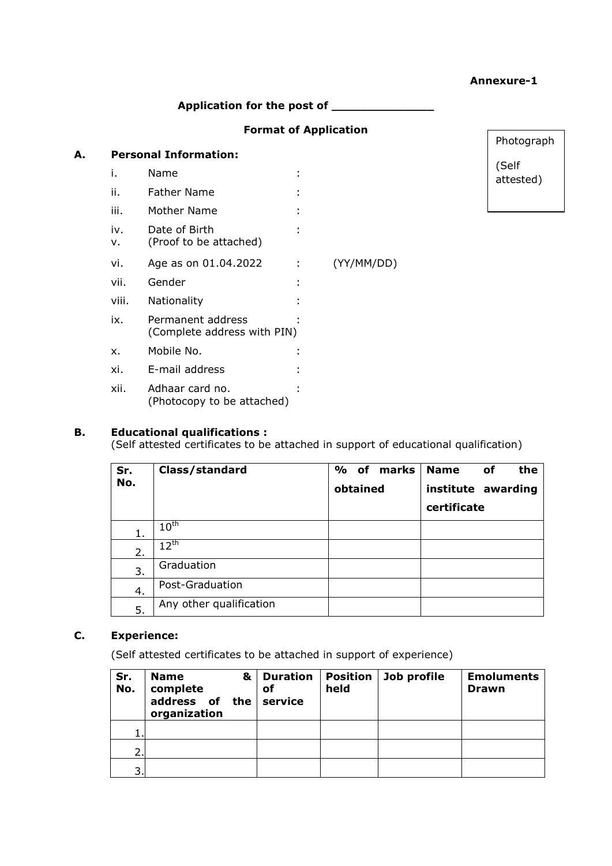|    |           | Application for the post of                      |   |            |                    |
|----|-----------|--------------------------------------------------|---|------------|--------------------|
|    |           | <b>Format of Application</b>                     |   |            | Photograph         |
| А. |           | <b>Personal Information:</b>                     |   |            |                    |
|    | i.        | Name                                             |   |            | (Self<br>attested) |
|    | ii.       | <b>Father Name</b>                               |   |            |                    |
|    | iii.      | <b>Mother Name</b>                               |   |            |                    |
|    | iv.<br>v. | Date of Birth<br>(Proof to be attached)          |   |            |                    |
|    | vi.       | Age as on 01.04.2022                             | ÷ | (YY/MM/DD) |                    |
|    | vii.      | Gender                                           | ٠ |            |                    |
|    | viii.     | Nationality                                      |   |            |                    |
|    | ix.       | Permanent address<br>(Complete address with PIN) |   |            |                    |
|    | X.        | Mobile No.                                       |   |            |                    |
|    | xi.       | E-mail address                                   |   |            |                    |
|    | xii.      | Adhaar card no.<br>(Photocopy to be attached)    |   |            |                    |

**Annexure-1**

# **B. Educational qualifications :**

(Self attested certificates to be attached in support of educational qualification)

| Sr. | Class/standard          | % of     | marks | <b>Name</b>        | оf | the |
|-----|-------------------------|----------|-------|--------------------|----|-----|
| No. |                         | obtained |       | institute awarding |    |     |
|     |                         |          |       | certificate        |    |     |
| 1.  | $10^{\sf th}$           |          |       |                    |    |     |
| 2.  | $12^{\text{th}}$        |          |       |                    |    |     |
| 3.  | Graduation              |          |       |                    |    |     |
| 4.  | Post-Graduation         |          |       |                    |    |     |
| 5.  | Any other qualification |          |       |                    |    |     |

# **C. Experience:**

(Self attested certificates to be attached in support of experience)

| Sr.<br>No. | <b>Name</b><br>complete<br>address of the<br>organization | & Duration<br>оf<br>l service | <b>Position</b><br>held | Job profile | <b>Emoluments</b><br><b>Drawn</b> |
|------------|-----------------------------------------------------------|-------------------------------|-------------------------|-------------|-----------------------------------|
|            |                                                           |                               |                         |             |                                   |
| ∍          |                                                           |                               |                         |             |                                   |
| 3          |                                                           |                               |                         |             |                                   |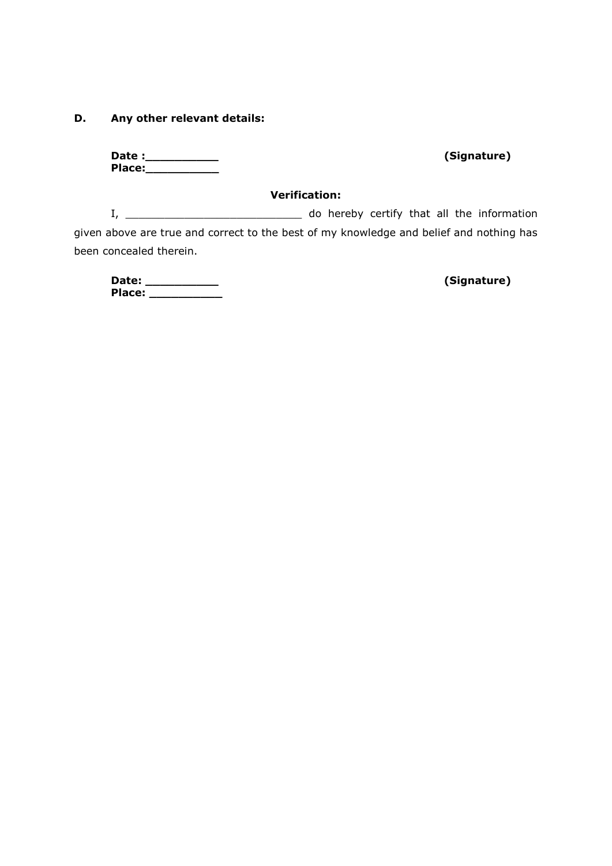### **D. Any other relevant details:**

**Date :\_\_\_\_\_\_\_\_\_\_ (Signature) Place:\_\_\_\_\_\_\_\_\_\_**

#### **Verification:**

I, \_\_\_\_\_\_\_\_\_\_\_\_\_\_\_\_\_\_\_\_\_\_\_\_\_\_\_ do hereby certify that all the information given above are true and correct to the best of my knowledge and belief and nothing has been concealed therein.

**Date: \_\_\_\_\_\_\_\_\_\_ (Signature) Place: \_\_\_\_\_\_\_\_\_\_**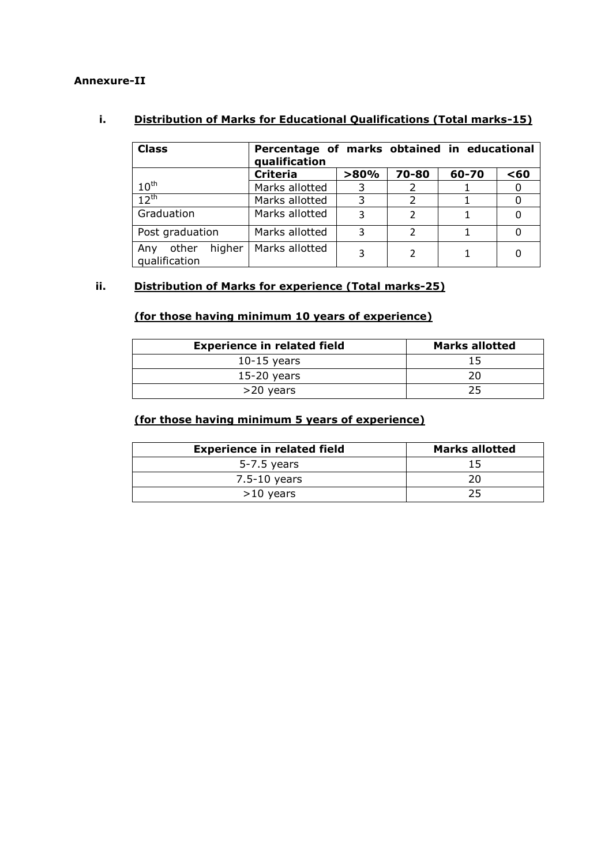## **Annexure-II**

# **i. Distribution of Marks for Educational Qualifications (Total marks-15)**

| <b>Class</b>                            | Percentage of marks obtained in educational<br>qualification |      |                |       |     |
|-----------------------------------------|--------------------------------------------------------------|------|----------------|-------|-----|
|                                         | <b>Criteria</b>                                              | >80% | 70-80          | 60-70 | <60 |
| $10^{\text{th}}$                        | Marks allotted                                               |      |                |       |     |
| $12^{th}$                               | Marks allotted                                               | 3    |                |       |     |
| Graduation                              | Marks allotted                                               | 3    | $\overline{2}$ |       |     |
| Post graduation                         | Marks allotted                                               | 3    | $\mathcal{P}$  |       |     |
| higher<br>other<br>Any<br>qualification | Marks allotted                                               | 3    | $\mathcal{P}$  |       |     |

# **ii. Distribution of Marks for experience (Total marks-25)**

# **(for those having minimum 10 years of experience)**

| <b>Experience in related field</b> | <b>Marks allotted</b> |
|------------------------------------|-----------------------|
| $10-15$ years                      | 15                    |
| $15-20$ years                      | 20                    |
| >20 years                          | 25                    |

## **(for those having minimum 5 years of experience)**

| <b>Experience in related field</b> | Marks allotted |
|------------------------------------|----------------|
| 5-7.5 years                        |                |
| $7.5 - 10$ years                   |                |
| $>10$ years                        | 25             |